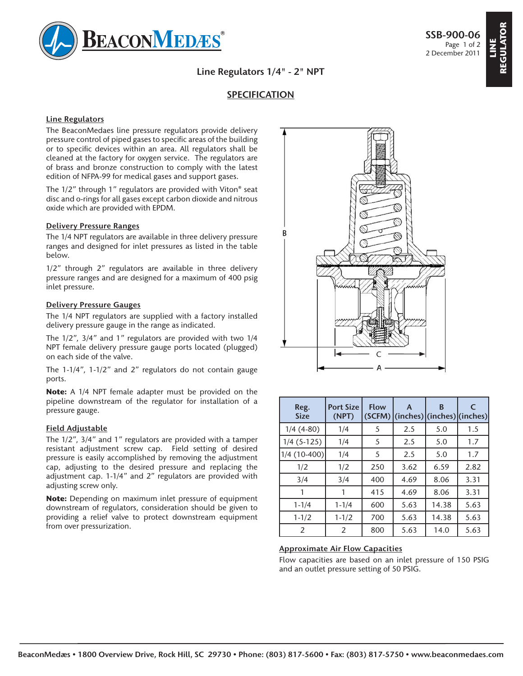

**REGULATOR**

**Line Regulators 1/4" - 2" NPT**

# **SPECIFICATION**

#### **Line Regulators**

The BeaconMedaes line pressure regulators provide delivery pressure control of piped gases to specific areas of the building or to specific devices within an area. All regulators shall be cleaned at the factory for oxygen service. The regulators are of brass and bronze construction to comply with the latest edition of NFPA-99 for medical gases and support gases.

The 1/2" through 1" regulators are provided with Viton® seat disc and o-rings for all gases except carbon dioxide and nitrous oxide which are provided with EPDM.

#### **Delivery Pressure Ranges**

The 1/4 NPT regulators are available in three delivery pressure ranges and designed for inlet pressures as listed in the table below.

1/2" through 2" regulators are available in three delivery pressure ranges and are designed for a maximum of 400 psig inlet pressure.

#### **Delivery Pressure Gauges**

The 1/4 NPT regulators are supplied with a factory installed delivery pressure gauge in the range as indicated.

The 1/2", 3/4" and 1" regulators are provided with two 1/4 NPT female delivery pressure gauge ports located (plugged) on each side of the valve.

The 1-1/4", 1-1/2" and 2" regulators do not contain gauge ports.

**Note:** A 1/4 NPT female adapter must be provided on the pipeline downstream of the regulator for installation of a pressure gauge.

#### **Field Adjustable**

The 1/2", 3/4" and 1" regulators are provided with a tamper resistant adjustment screw cap. Field setting of desired pressure is easily accomplished by removing the adjustment cap, adjusting to the desired pressure and replacing the adjustment cap. 1-1/4" and 2" regulators are provided with adjusting screw only.

**Note:** Depending on maximum inlet pressure of equipment downstream of regulators, consideration should be given to providing a relief valve to protect downstream equipment from over pressurization.



| Reg.<br><b>Size</b> | <b>Port Size</b><br>(NPT) | <b>Flow</b><br>(SCFM) | A<br>$ $ (inches) $ $ (inches) $ $ (inches) $ $ | B     | C    |
|---------------------|---------------------------|-----------------------|-------------------------------------------------|-------|------|
| $1/4(4-80)$         | 1/4                       | 5                     | 2.5                                             | 5.0   | 1.5  |
| $1/4$ (5-125)       | 1/4                       | 5                     | 2.5                                             | 5.0   | 1.7  |
| 1/4 (10-400)        | 1/4                       | 5                     | 2.5                                             | 5.0   | 1.7  |
| 1/2                 | 1/2                       | 250                   | 3.62                                            | 6.59  | 2.82 |
| 3/4                 | 3/4                       | 400                   | 4.69                                            | 8.06  | 3.31 |
|                     |                           | 415                   | 4.69                                            | 8.06  | 3.31 |
| $1 - 1/4$           | $1 - 1/4$                 | 600                   | 5.63                                            | 14.38 | 5.63 |
| $1 - 1/2$           | $1 - 1/2$                 | 700                   | 5.63                                            | 14.38 | 5.63 |
| 2                   | $\overline{2}$            | 800                   | 5.63                                            | 14.0  | 5.63 |

### **Approximate Air Flow Capacities**

Flow capacities are based on an inlet pressure of 150 PSIG and an outlet pressure setting of 50 PSIG.